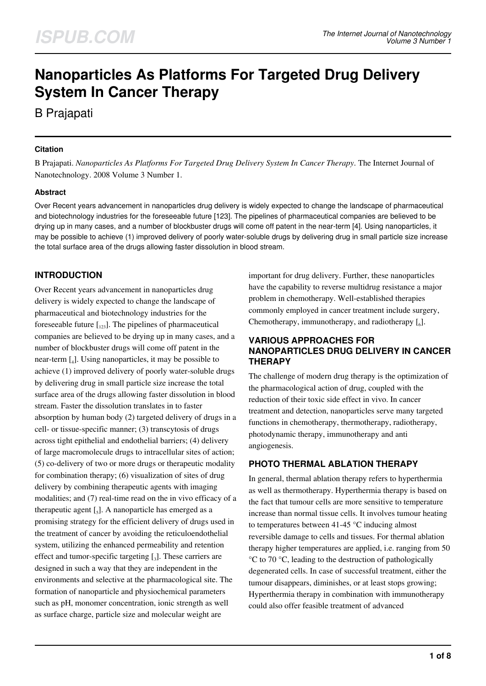# **Nanoparticles As Platforms For Targeted Drug Delivery System In Cancer Therapy**

B Prajapati

### **Citation**

B Prajapati. *Nanoparticles As Platforms For Targeted Drug Delivery System In Cancer Therapy*. The Internet Journal of Nanotechnology. 2008 Volume 3 Number 1.

### **Abstract**

Over Recent years advancement in nanoparticles drug delivery is widely expected to change the landscape of pharmaceutical and biotechnology industries for the foreseeable future [123]. The pipelines of pharmaceutical companies are believed to be drying up in many cases, and a number of blockbuster drugs will come off patent in the near-term [4]. Using nanoparticles, it may be possible to achieve (1) improved delivery of poorly water-soluble drugs by delivering drug in small particle size increase the total surface area of the drugs allowing faster dissolution in blood stream.

# **INTRODUCTION**

Over Recent years advancement in nanoparticles drug delivery is widely expected to change the landscape of pharmaceutical and biotechnology industries for the foreseeable future  $\left[1_{123}\right]$ . The pipelines of pharmaceutical companies are believed to be drying up in many cases, and a number of blockbuster drugs will come off patent in the near-term [<sup>4</sup> ]. Using nanoparticles, it may be possible to achieve (1) improved delivery of poorly water-soluble drugs by delivering drug in small particle size increase the total surface area of the drugs allowing faster dissolution in blood stream. Faster the dissolution translates in to faster absorption by human body (2) targeted delivery of drugs in a cell- or tissue-specific manner; (3) transcytosis of drugs across tight epithelial and endothelial barriers; (4) delivery of large macromolecule drugs to intracellular sites of action; (5) co-delivery of two or more drugs or therapeutic modality for combination therapy; (6) visualization of sites of drug delivery by combining therapeutic agents with imaging modalities; and (7) real-time read on the in vivo efficacy of a therapeutic agent  $\left[ \begin{smallmatrix} 1 \\ 5 \end{smallmatrix} \right]$ . A nanoparticle has emerged as a promising strategy for the efficient delivery of drugs used in the treatment of cancer by avoiding the reticuloendothelial system, utilizing the enhanced permeability and retention effect and tumor-specific targeting  $\left[ \begin{smallmatrix} 1 \end{smallmatrix} \right]$ . These carriers are designed in such a way that they are independent in the environments and selective at the pharmacological site. The formation of nanoparticle and physiochemical parameters such as pH, monomer concentration, ionic strength as well as surface charge, particle size and molecular weight are

important for drug delivery. Further, these nanoparticles have the capability to reverse multidrug resistance a major problem in chemotherapy. Well-established therapies commonly employed in cancer treatment include surgery, Chemotherapy, immunotherapy, and radiotherapy  $\left[\begin{smallmatrix}6\end{smallmatrix}\right]$ .

### **VARIOUS APPROACHES FOR NANOPARTICLES DRUG DELIVERY IN CANCER THERAPY**

The challenge of modern drug therapy is the optimization of the pharmacological action of drug, coupled with the reduction of their toxic side effect in vivo. In cancer treatment and detection, nanoparticles serve many targeted functions in chemotherapy, thermotherapy, radiotherapy, photodynamic therapy, immunotherapy and anti angiogenesis.

### **PHOTO THERMAL ABLATION THERAPY**

In general, thermal ablation therapy refers to hyperthermia as well as thermotherapy. Hyperthermia therapy is based on the fact that tumour cells are more sensitive to temperature increase than normal tissue cells. It involves tumour heating to temperatures between 41-45 °C inducing almost reversible damage to cells and tissues. For thermal ablation therapy higher temperatures are applied, i.e. ranging from 50 °C to 70 °C, leading to the destruction of pathologically degenerated cells. In case of successful treatment, either the tumour disappears, diminishes, or at least stops growing; Hyperthermia therapy in combination with immunotherapy could also offer feasible treatment of advanced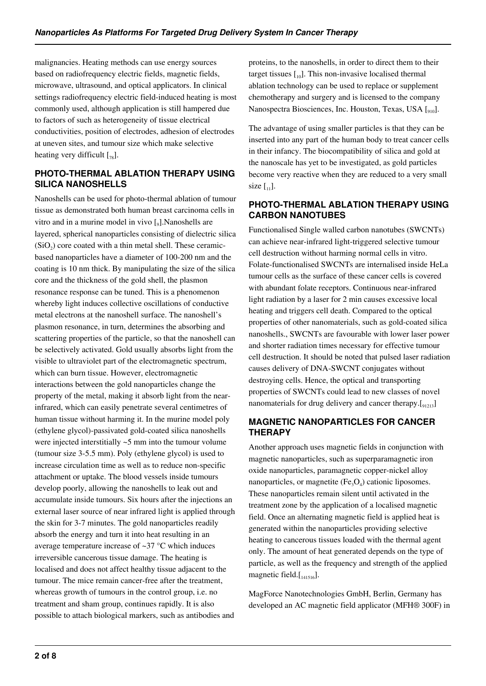malignancies. Heating methods can use energy sources based on radiofrequency electric fields, magnetic fields, microwave, ultrasound, and optical applicators. In clinical settings radiofrequency electric field-induced heating is most commonly used, although application is still hampered due to factors of such as heterogeneity of tissue electrical conductivities, position of electrodes, adhesion of electrodes at uneven sites, and tumour size which make selective heating very difficult  $[\,_{78}]$ .

### **PHOTO-THERMAL ABLATION THERAPY USING SILICA NANOSHELLS**

Nanoshells can be used for photo-thermal ablation of tumour tissue as demonstrated both human breast carcinoma cells in vitro and in a murine model in vivo [9]. Nanoshells are layered, spherical nanoparticles consisting of dielectric silica  $(SiO<sub>2</sub>)$  core coated with a thin metal shell. These ceramicbased nanoparticles have a diameter of 100-200 nm and the coating is 10 nm thick. By manipulating the size of the silica core and the thickness of the gold shell, the plasmon resonance response can be tuned. This is a phenomenon whereby light induces collective oscillations of conductive metal electrons at the nanoshell surface. The nanoshell's plasmon resonance, in turn, determines the absorbing and scattering properties of the particle, so that the nanoshell can be selectively activated. Gold usually absorbs light from the visible to ultraviolet part of the electromagnetic spectrum, which can burn tissue. However, electromagnetic interactions between the gold nanoparticles change the property of the metal, making it absorb light from the nearinfrared, which can easily penetrate several centimetres of human tissue without harming it. In the murine model poly (ethylene glycol)-passivated gold-coated silica nanoshells were injected interstitially ~5 mm into the tumour volume (tumour size 3-5.5 mm). Poly (ethylene glycol) is used to increase circulation time as well as to reduce non-specific attachment or uptake. The blood vessels inside tumours develop poorly, allowing the nanoshells to leak out and accumulate inside tumours. Six hours after the injections an external laser source of near infrared light is applied through the skin for 3-7 minutes. The gold nanoparticles readily absorb the energy and turn it into heat resulting in an average temperature increase of  $\sim$ 37 °C which induces irreversible cancerous tissue damage. The heating is localised and does not affect healthy tissue adjacent to the tumour. The mice remain cancer-free after the treatment, whereas growth of tumours in the control group, i.e. no treatment and sham group, continues rapidly. It is also possible to attach biological markers, such as antibodies and

proteins, to the nanoshells, in order to direct them to their target tissues  $\begin{bmatrix} 1 & 0 \end{bmatrix}$ . This non-invasive localised thermal ablation technology can be used to replace or supplement chemotherapy and surgery and is licensed to the company Nanospectra Biosciences, Inc. Houston, Texas, USA [910].

The advantage of using smaller particles is that they can be inserted into any part of the human body to treat cancer cells in their infancy. The biocompatibility of silica and gold at the nanoscale has yet to be investigated, as gold particles become very reactive when they are reduced to a very small size  $\begin{bmatrix} 1 \\ 1 \end{bmatrix}$ .

### **PHOTO-THERMAL ABLATION THERAPY USING CARBON NANOTUBES**

Functionalised Single walled carbon nanotubes (SWCNTs) can achieve near-infrared light-triggered selective tumour cell destruction without harming normal cells in vitro. Folate-functionalised SWCNTs are internalised inside HeLa tumour cells as the surface of these cancer cells is covered with abundant folate receptors. Continuous near-infrared light radiation by a laser for 2 min causes excessive local heating and triggers cell death. Compared to the optical properties of other nanomaterials, such as gold-coated silica nanoshells., SWCNTs are favourable with lower laser power and shorter radiation times necessary for effective tumour cell destruction. It should be noted that pulsed laser radiation causes delivery of DNA-SWCNT conjugates without destroying cells. Hence, the optical and transporting properties of SWCNTs could lead to new classes of novel nanomaterials for drug delivery and cancer therapy.[91213]

# **MAGNETIC NANOPARTICLES FOR CANCER THERAPY**

Another approach uses magnetic fields in conjunction with magnetic nanoparticles, such as superparamagnetic iron oxide nanoparticles, paramagnetic copper-nickel alloy nanoparticles, or magnetite  $(Fe<sub>3</sub>O<sub>4</sub>)$  cationic liposomes. These nanoparticles remain silent until activated in the treatment zone by the application of a localised magnetic field. Once an alternating magnetic field is applied heat is generated within the nanoparticles providing selective heating to cancerous tissues loaded with the thermal agent only. The amount of heat generated depends on the type of particle, as well as the frequency and strength of the applied magnetic field. $[I_{141516}]$ .

MagForce Nanotechnologies GmbH, Berlin, Germany has developed an AC magnetic field applicator (MFH® 300F) in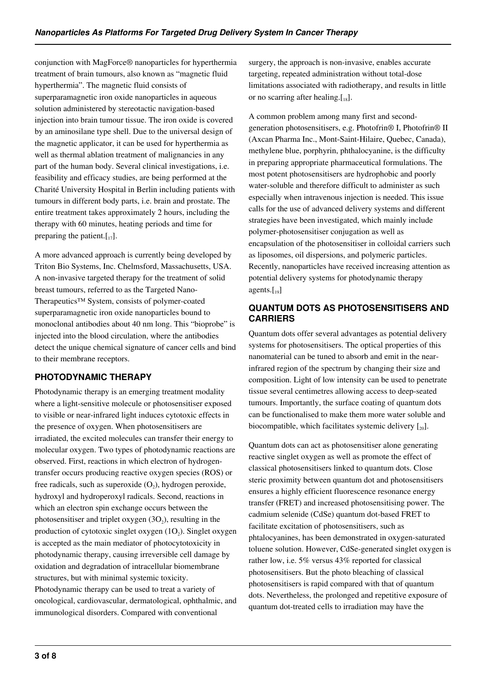conjunction with MagForce® nanoparticles for hyperthermia treatment of brain tumours, also known as "magnetic fluid hyperthermia". The magnetic fluid consists of superparamagnetic iron oxide nanoparticles in aqueous solution administered by stereotactic navigation-based injection into brain tumour tissue. The iron oxide is covered by an aminosilane type shell. Due to the universal design of the magnetic applicator, it can be used for hyperthermia as well as thermal ablation treatment of malignancies in any part of the human body. Several clinical investigations, i.e. feasibility and efficacy studies, are being performed at the Charité University Hospital in Berlin including patients with tumours in different body parts, i.e. brain and prostate. The entire treatment takes approximately 2 hours, including the therapy with 60 minutes, heating periods and time for preparing the patient. $[I_{17}]$ .

A more advanced approach is currently being developed by Triton Bio Systems, Inc. Chelmsford, Massachusetts, USA. A non-invasive targeted therapy for the treatment of solid breast tumours, referred to as the Targeted Nano-Therapeutics™ System, consists of polymer-coated superparamagnetic iron oxide nanoparticles bound to monoclonal antibodies about 40 nm long. This "bioprobe" is injected into the blood circulation, where the antibodies detect the unique chemical signature of cancer cells and bind to their membrane receptors.

# **PHOTODYNAMIC THERAPY**

Photodynamic therapy is an emerging treatment modality where a light-sensitive molecule or photosensitiser exposed to visible or near-infrared light induces cytotoxic effects in the presence of oxygen. When photosensitisers are irradiated, the excited molecules can transfer their energy to molecular oxygen. Two types of photodynamic reactions are observed. First, reactions in which electron of hydrogentransfer occurs producing reactive oxygen species (ROS) or free radicals, such as superoxide  $(O_2)$ , hydrogen peroxide, hydroxyl and hydroperoxyl radicals. Second, reactions in which an electron spin exchange occurs between the photosensitiser and triplet oxygen  $(3O_2)$ , resulting in the production of cytotoxic singlet oxygen  $(1O_2)$ . Singlet oxygen is accepted as the main mediator of photocytotoxicity in photodynamic therapy, causing irreversible cell damage by oxidation and degradation of intracellular biomembrane structures, but with minimal systemic toxicity. Photodynamic therapy can be used to treat a variety of oncological, cardiovascular, dermatological, ophthalmic, and immunological disorders. Compared with conventional

surgery, the approach is non-invasive, enables accurate targeting, repeated administration without total-dose limitations associated with radiotherapy, and results in little or no scarring after healing. $[I_8]$ .

A common problem among many first and secondgeneration photosensitisers, e.g. Photofrin® I, Photofrin® II (Axcan Pharma Inc., Mont-Saint-Hilaire, Quebec, Canada), methylene blue, porphyrin, phthalocyanine, is the difficulty in preparing appropriate pharmaceutical formulations. The most potent photosensitisers are hydrophobic and poorly water-soluble and therefore difficult to administer as such especially when intravenous injection is needed. This issue calls for the use of advanced delivery systems and different strategies have been investigated, which mainly include polymer-photosensitiser conjugation as well as encapsulation of the photosensitiser in colloidal carriers such as liposomes, oil dispersions, and polymeric particles. Recently, nanoparticles have received increasing attention as potential delivery systems for photodynamic therapy agents. $\begin{bmatrix} 10 \end{bmatrix}$ 

# **QUANTUM DOTS AS PHOTOSENSITISERS AND CARRIERS**

Quantum dots offer several advantages as potential delivery systems for photosensitisers. The optical properties of this nanomaterial can be tuned to absorb and emit in the nearinfrared region of the spectrum by changing their size and composition. Light of low intensity can be used to penetrate tissue several centimetres allowing access to deep-seated tumours. Importantly, the surface coating of quantum dots can be functionalised to make them more water soluble and biocompatible, which facilitates systemic delivery  $\lceil_{20}\rceil$ .

Quantum dots can act as photosensitiser alone generating reactive singlet oxygen as well as promote the effect of classical photosensitisers linked to quantum dots. Close steric proximity between quantum dot and photosensitisers ensures a highly efficient fluorescence resonance energy transfer (FRET) and increased photosensitising power. The cadmium selenide (CdSe) quantum dot-based FRET to facilitate excitation of photosensitisers, such as phtalocyanines, has been demonstrated in oxygen-saturated toluene solution. However, CdSe-generated singlet oxygen is rather low, i.e. 5% versus 43% reported for classical photosensitisers. But the photo bleaching of classical photosensitisers is rapid compared with that of quantum dots. Nevertheless, the prolonged and repetitive exposure of quantum dot-treated cells to irradiation may have the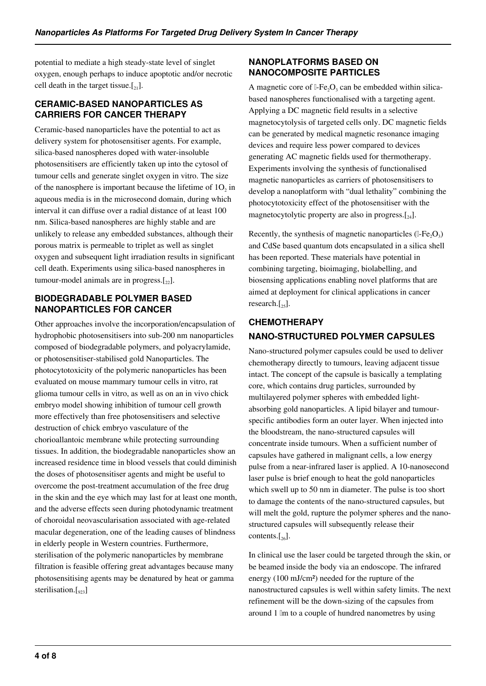potential to mediate a high steady-state level of singlet oxygen, enough perhaps to induce apoptotic and/or necrotic cell death in the target tissue.[ $_{21}$ ].

### **CERAMIC-BASED NANOPARTICLES AS CARRIERS FOR CANCER THERAPY**

Ceramic-based nanoparticles have the potential to act as delivery system for photosensitiser agents. For example, silica-based nanospheres doped with water-insoluble photosensitisers are efficiently taken up into the cytosol of tumour cells and generate singlet oxygen in vitro. The size of the nanosphere is important because the lifetime of  $1O<sub>2</sub>$  in aqueous media is in the microsecond domain, during which interval it can diffuse over a radial distance of at least 100 nm. Silica-based nanospheres are highly stable and are unlikely to release any embedded substances, although their porous matrix is permeable to triplet as well as singlet oxygen and subsequent light irradiation results in significant cell death. Experiments using silica-based nanospheres in tumour-model animals are in progress. $[22]$ .

### **BIODEGRADABLE POLYMER BASED NANOPARTICLES FOR CANCER**

Other approaches involve the incorporation/encapsulation of hydrophobic photosensitisers into sub-200 nm nanoparticles composed of biodegradable polymers, and polyacrylamide, or photosensitiser-stabilised gold Nanoparticles. The photocytotoxicity of the polymeric nanoparticles has been evaluated on mouse mammary tumour cells in vitro, rat glioma tumour cells in vitro, as well as on an in vivo chick embryo model showing inhibition of tumour cell growth more effectively than free photosensitisers and selective destruction of chick embryo vasculature of the chorioallantoic membrane while protecting surrounding tissues. In addition, the biodegradable nanoparticles show an increased residence time in blood vessels that could diminish the doses of photosensitiser agents and might be useful to overcome the post-treatment accumulation of the free drug in the skin and the eye which may last for at least one month, and the adverse effects seen during photodynamic treatment of choroidal neovascularisation associated with age-related macular degeneration, one of the leading causes of blindness in elderly people in Western countries. Furthermore, sterilisation of the polymeric nanoparticles by membrane filtration is feasible offering great advantages because many photosensitising agents may be denatured by heat or gamma sterilisation. $\lceil_{223}\rceil$ 

# **NANOPLATFORMS BASED ON NANOCOMPOSITE PARTICLES**

A magnetic core of  $l$ -Fe<sub>2</sub>O<sub>3</sub> can be embedded within silicabased nanospheres functionalised with a targeting agent. Applying a DC magnetic field results in a selective magnetocytolysis of targeted cells only. DC magnetic fields can be generated by medical magnetic resonance imaging devices and require less power compared to devices generating AC magnetic fields used for thermotherapy. Experiments involving the synthesis of functionalised magnetic nanoparticles as carriers of photosensitisers to develop a nanoplatform with "dual lethality" combining the photocytotoxicity effect of the photosensitiser with the magnetocytolytic property are also in progress. $[24]$ .

Recently, the synthesis of magnetic nanoparticles  $(IFe<sub>2</sub>O<sub>3</sub>)$ and CdSe based quantum dots encapsulated in a silica shell has been reported. These materials have potential in combining targeting, bioimaging, biolabelling, and biosensing applications enabling novel platforms that are aimed at deployment for clinical applications in cancer research. $\lceil_{25}\rceil$ .

# **CHEMOTHERAPY NANO-STRUCTURED POLYMER CAPSULES**

Nano-structured polymer capsules could be used to deliver chemotherapy directly to tumours, leaving adjacent tissue intact. The concept of the capsule is basically a templating core, which contains drug particles, surrounded by multilayered polymer spheres with embedded lightabsorbing gold nanoparticles. A lipid bilayer and tumourspecific antibodies form an outer layer. When injected into the bloodstream, the nano-structured capsules will concentrate inside tumours. When a sufficient number of capsules have gathered in malignant cells, a low energy pulse from a near-infrared laser is applied. A 10-nanosecond laser pulse is brief enough to heat the gold nanoparticles which swell up to 50 nm in diameter. The pulse is too short to damage the contents of the nano-structured capsules, but will melt the gold, rupture the polymer spheres and the nanostructured capsules will subsequently release their contents. $[26]$ .

In clinical use the laser could be targeted through the skin, or be beamed inside the body via an endoscope. The infrared energy (100 mJ/cm²) needed for the rupture of the nanostructured capsules is well within safety limits. The next refinement will be the down-sizing of the capsules from around 1 μm to a couple of hundred nanometres by using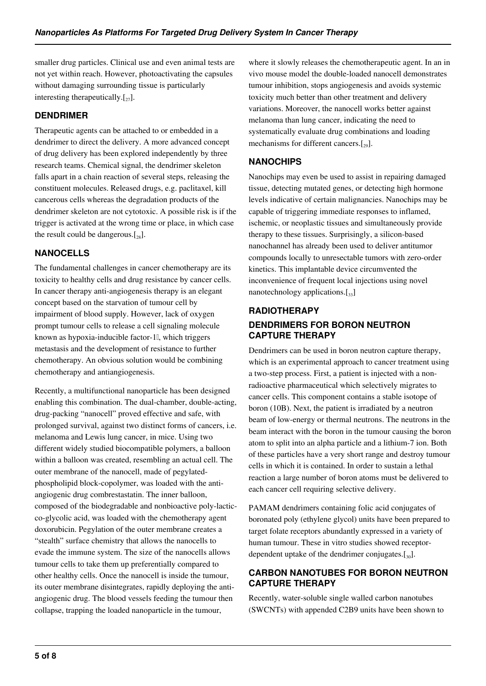smaller drug particles. Clinical use and even animal tests are not yet within reach. However, photoactivating the capsules without damaging surrounding tissue is particularly interesting therapeutically. $[\,z_7]$ .

# **DENDRIMER**

Therapeutic agents can be attached to or embedded in a dendrimer to direct the delivery. A more advanced concept of drug delivery has been explored independently by three research teams. Chemical signal, the dendrimer skeleton falls apart in a chain reaction of several steps, releasing the constituent molecules. Released drugs, e.g. paclitaxel, kill cancerous cells whereas the degradation products of the dendrimer skeleton are not cytotoxic. A possible risk is if the trigger is activated at the wrong time or place, in which case the result could be dangerous. $[28]$ .

# **NANOCELLS**

The fundamental challenges in cancer chemotherapy are its toxicity to healthy cells and drug resistance by cancer cells. In cancer therapy anti-angiogenesis therapy is an elegant concept based on the starvation of tumour cell by impairment of blood supply. However, lack of oxygen prompt tumour cells to release a cell signaling molecule known as hypoxia-inducible factor-1 $\mathbb{I}$ , which triggers metastasis and the development of resistance to further chemotherapy. An obvious solution would be combining chemotherapy and antiangiogenesis.

Recently, a multifunctional nanoparticle has been designed enabling this combination. The dual-chamber, double-acting, drug-packing "nanocell" proved effective and safe, with prolonged survival, against two distinct forms of cancers, i.e. melanoma and Lewis lung cancer, in mice. Using two different widely studied biocompatible polymers, a balloon within a balloon was created, resembling an actual cell. The outer membrane of the nanocell, made of pegylatedphospholipid block-copolymer, was loaded with the antiangiogenic drug combrestastatin. The inner balloon, composed of the biodegradable and nonbioactive poly-lacticco-glycolic acid, was loaded with the chemotherapy agent doxorubicin. Pegylation of the outer membrane creates a "stealth" surface chemistry that allows the nanocells to evade the immune system. The size of the nanocells allows tumour cells to take them up preferentially compared to other healthy cells. Once the nanocell is inside the tumour, its outer membrane disintegrates, rapidly deploying the antiangiogenic drug. The blood vessels feeding the tumour then collapse, trapping the loaded nanoparticle in the tumour,

where it slowly releases the chemotherapeutic agent. In an in vivo mouse model the double-loaded nanocell demonstrates tumour inhibition, stops angiogenesis and avoids systemic toxicity much better than other treatment and delivery variations. Moreover, the nanocell works better against melanoma than lung cancer, indicating the need to systematically evaluate drug combinations and loading mechanisms for different cancers. $[29]$ .

# **NANOCHIPS**

Nanochips may even be used to assist in repairing damaged tissue, detecting mutated genes, or detecting high hormone levels indicative of certain malignancies. Nanochips may be capable of triggering immediate responses to inflamed, ischemic, or neoplastic tissues and simultaneously provide therapy to these tissues. Surprisingly, a silicon-based nanochannel has already been used to deliver antitumor compounds locally to unresectable tumors with zero-order kinetics. This implantable device circumvented the inconvenience of frequent local injections using novel nanotechnology applications. $\left[\begin{smallmatrix}33\end{smallmatrix}\right]$ 

# **RADIOTHERAPY DENDRIMERS FOR BORON NEUTRON CAPTURE THERAPY**

Dendrimers can be used in boron neutron capture therapy, which is an experimental approach to cancer treatment using a two-step process. First, a patient is injected with a nonradioactive pharmaceutical which selectively migrates to cancer cells. This component contains a stable isotope of boron (10B). Next, the patient is irradiated by a neutron beam of low-energy or thermal neutrons. The neutrons in the beam interact with the boron in the tumour causing the boron atom to split into an alpha particle and a lithium-7 ion. Both of these particles have a very short range and destroy tumour cells in which it is contained. In order to sustain a lethal reaction a large number of boron atoms must be delivered to each cancer cell requiring selective delivery.

PAMAM dendrimers containing folic acid conjugates of boronated poly (ethylene glycol) units have been prepared to target folate receptors abundantly expressed in a variety of human tumour. These in vitro studies showed receptordependent uptake of the dendrimer conjugates. $[\mathcal{L}_{30}]$ .

### **CARBON NANOTUBES FOR BORON NEUTRON CAPTURE THERAPY**

Recently, water-soluble single walled carbon nanotubes (SWCNTs) with appended C2B9 units have been shown to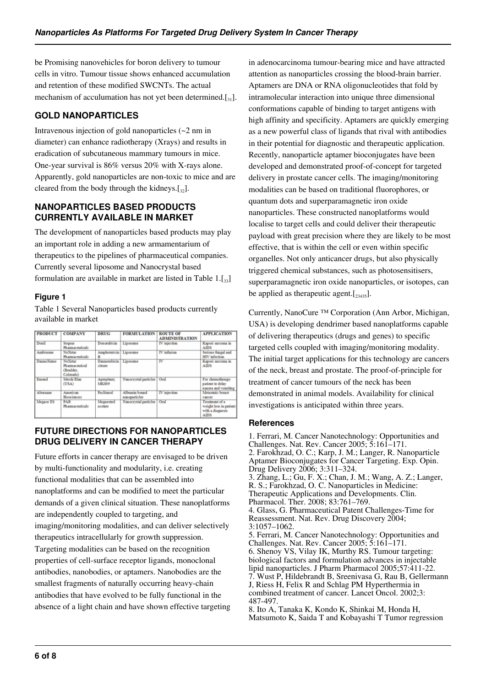be Promising nanovehicles for boron delivery to tumour cells in vitro. Tumour tissue shows enhanced accumulation and retention of these modified SWCNTs. The actual mechanism of acculumation has not yet been determined. $\left[\begin{smallmatrix}3\\3\end{smallmatrix}\right]$ .

# **GOLD NANOPARTICLES**

Intravenous injection of gold nanoparticles (~2 nm in diameter) can enhance radiotherapy (Xrays) and results in eradication of subcutaneous mammary tumours in mice. One-year survival is 86% versus 20% with X-rays alone. Apparently, gold nanoparticles are non-toxic to mice and are cleared from the body through the kidneys. $[32]$ .

### **NANOPARTICLES BASED PRODUCTS CURRENTLY AVAILABLE IN MARKET**

The development of nanoparticles based products may play an important role in adding a new armamentarium of therapeutics to the pipelines of pharmaceutical companies. Currently several liposome and Nanocrystal based formulation are available in market are listed in Table  $1.[33]$ 

### **Figure 1**

Table 1 Several Nanoparticles based products currently available in market

| <b>PRODUCT</b> | <b>COMPANY</b>                                       | <b>DRUG</b>                    | <b>FORMULATION</b>             | <b>ROUTE OF</b><br><b>ADMINISTRATION</b> | <b>APPLICATION</b>                                                          |
|----------------|------------------------------------------------------|--------------------------------|--------------------------------|------------------------------------------|-----------------------------------------------------------------------------|
| Doxil          | Sequus<br>Pharmaceuticals                            | Doxorubicin                    | Liposome                       | <b>IV</b> injection                      | Kaposi sarcoma in<br>AIDS                                                   |
| Ambisome       | <b>NeXstar</b><br>Pharmaceuticals                    | Amphotericin Liposome          |                                | <b>IV</b> infusion                       | Serious fungal and<br>HIV infection                                         |
| Danno Xome     | Ne Xstar<br>Pharmaceutical<br>(Boulder,<br>Colorado) | <b>Daunorubicin</b><br>citrate | Liposome                       | IV                                       | Kaposi sarcoma in<br><b>AIDS</b>                                            |
| Emend          | Merck Elsn<br>(USA)                                  | Aprepitant,<br><b>MK869</b>    | Nanocrystal particles          | Oral                                     | For chemotherapy<br>patient to delay<br>nausea and vomiting                 |
| Abraxane       | American<br>Biosciences                              | Paclitaxel                     | Albumin bound<br>nanoparticles | <b>IV</b> injection                      | Metastatic breast<br>cancer                                                 |
| Megace ES      | <b>PAR</b><br>Pharmaceuticals                        | Megaestrol<br>acetate          | Nanocrystal particles          | Oral                                     | Treatment of a<br>weight loss in patient<br>with a diagnosis<br><b>AIDS</b> |

### **FUTURE DIRECTIONS FOR NANOPARTICLES DRUG DELIVERY IN CANCER THERAPY**

Future efforts in cancer therapy are envisaged to be driven by multi-functionality and modularity, i.e. creating functional modalities that can be assembled into nanoplatforms and can be modified to meet the particular demands of a given clinical situation. These nanoplatforms are independently coupled to targeting, and imaging/monitoring modalities, and can deliver selectively therapeutics intracellularly for growth suppression. Targeting modalities can be based on the recognition properties of cell-surface receptor ligands, monoclonal antibodies, nanobodies, or aptamers. Nanobodies are the smallest fragments of naturally occurring heavy-chain antibodies that have evolved to be fully functional in the absence of a light chain and have shown effective targeting in adenocarcinoma tumour-bearing mice and have attracted attention as nanoparticles crossing the blood-brain barrier. Aptamers are DNA or RNA oligonucleotides that fold by intramolecular interaction into unique three dimensional conformations capable of binding to target antigens with high affinity and specificity. Aptamers are quickly emerging as a new powerful class of ligands that rival with antibodies in their potential for diagnostic and therapeutic application. Recently, nanoparticle aptamer bioconjugates have been developed and demonstrated proof-of-concept for targeted delivery in prostate cancer cells. The imaging/monitoring modalities can be based on traditional fluorophores, or quantum dots and superparamagnetic iron oxide nanoparticles. These constructed nanoplatforms would localise to target cells and could deliver their therapeutic payload with great precision where they are likely to be most effective, that is within the cell or even within specific organelles. Not only anticancer drugs, but also physically triggered chemical substances, such as photosensitisers, superparamagnetic iron oxide nanoparticles, or isotopes, can be applied as the rapeutic agent.  $[\frac{23435}{24435}]$ .

Currently, NanoCure ™ Corporation (Ann Arbor, Michigan, USA) is developing dendrimer based nanoplatforms capable of delivering therapeutics (drugs and genes) to specific targeted cells coupled with imaging/monitoring modality. The initial target applications for this technology are cancers of the neck, breast and prostate. The proof-of-principle for treatment of cancer tumours of the neck has been demonstrated in animal models. Availability for clinical investigations is anticipated within three years.

### **References**

1. Ferrari, M. Cancer Nanotechnology: Opportunities and Challenges. Nat. Rev. Cancer 2005; 5:161–171. 2. Farokhzad, O. C.; Karp, J. M.; Langer, R. Nanoparticle Aptamer Bioconjugates for Cancer Targeting. Exp. Opin. Drug Delivery 2006; 3:311–324. 3. Zhang, L.; Gu, F. X.; Chan, J. M.; Wang, A. Z.; Langer, R. S.; Farokhzad, O. C. Nanoparticles in Medicine: Therapeutic Applications and Developments. Clin. Pharmacol. Ther. 2008; 83:761–769. 4. Glass, G. Pharmaceutical Patent Challenges-Time for Reassessment. Nat. Rev. Drug Discovery 2004; 3:1057–1062. 5. Ferrari, M. Cancer Nanotechnology: Opportunities and Challenges. Nat. Rev. Cancer 2005; 5:161–171. 6. Shenoy VS, Vilay IK, Murthy RS. Tumour targeting: biological factors and formulation advances in injectable lipid nanoparticles. J Pharm Pharmacol 2005;57:411-22. 7. Wust P, Hildebrandt B, Sreenivasa G, Rau B, Gellermann J, Riess H, Felix R and Schlag PM Hyperthermia in combined treatment of cancer. Lancet Oncol. 2002;3: 487-497.

8. Ito A, Tanaka K, Kondo K, Shinkai M, Honda H, Matsumoto K, Saida T and Kobayashi T Tumor regression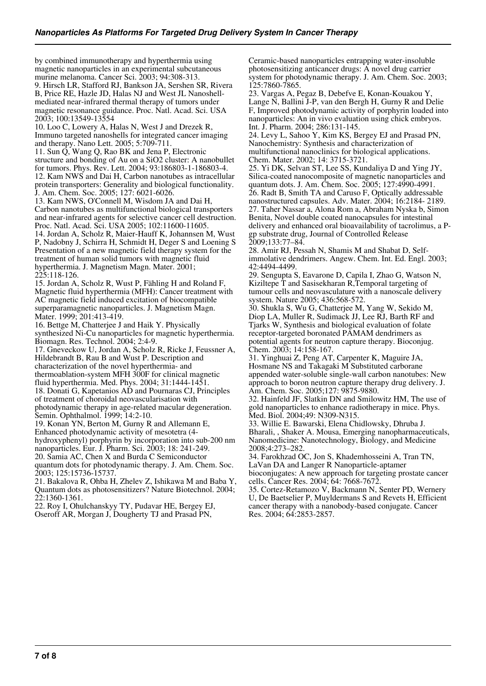by combined immunotherapy and hyperthermia using magnetic nanoparticles in an experimental subcutaneous murine melanoma. Cancer Sci. 2003; 94:308-313.

9. Hirsch LR, Stafford RJ, Bankson JA, Sershen SR, Rivera B, Price RE, Hazle JD, Halas NJ and West JL Nanoshellmediated near-infrared thermal therapy of tumors under magnetic resonance guidance. Proc. Natl. Acad. Sci. USA 2003; 100:13549-13554

10. Loo C, Lowery A, Halas N, West J and Drezek R, Immuno targeted nanoshells for integrated cancer imaging and therapy. Nano Lett. 2005; 5:709-711.

11. Sun Q, Wang Q, Rao BK and Jena P, Electronic structure and bonding of Au on a SiO2 cluster: A nanobullet for tumors. Phys. Rev. Lett. 2004; 93:186803-1-186803-4. 12. Kam NWS and Dai H, Carbon nanotubes as intracellular protein transporters: Generality and biological functionality. J. Am. Chem. Soc. 2005; 127: 6021-6026.

13. Kam NWS, O'Connell M, Wisdom JA and Dai H, Carbon nanotubes as multifunctional biological transporters and near-infrared agents for selective cancer cell destruction. Proc. Natl. Acad. Sci. USA 2005; 102:11600-11605. 14. Jordan A, Scholz R, Maier-Hauff K, Johannsen M, Wust P, Nadobny J, Schirra H, Schmidt H, Deger S and Loening S Presentation of a new magnetic field therapy system for the treatment of human solid tumors with magnetic fluid hyperthermia. J. Magnetism Magn. Mater. 2001; 225:118-126.

15. Jordan A, Scholz R, Wust P, Fähling H and Roland F, Magnetic fluid hyperthermia (MFH): Cancer treatment with AC magnetic field induced excitation of biocompatible superparamagnetic nanoparticles. J. Magnetism Magn. Mater. 1999; 201:413-419.

16. Bettge M, Chatterjee J and Haik Y. Physically synthesized Ni-Cu nanoparticles for magnetic hyperthermia. Biomagn. Res. Technol. 2004; 2:4-9.

17. Gneveckow U, Jordan A, Scholz R, Ricke J, Feussner A, Hildebrandt B, Rau B and Wust P. Description and characterization of the novel hyperthermia- and thermoablation-system MFH 300F for clinical magnetic fluid hyperthermia. Med. Phys. 2004; 31:1444-1451. 18. Donati G, Kapetanios AD and Pournaras CJ, Principles of treatment of choroidal neovascularisation with photodynamic therapy in age-related macular degeneration.

Semin. Ophthalmol. 1999; 14:2-10. 19. Konan YN, Berton M, Gurny R and Allemann E,

Enhanced photodynamic activity of mesotetra (4 hydroxyphenyl) porphyrin by incorporation into sub-200 nm nanoparticles. Eur. J. Pharm. Sci. 2003; 18: 241-249.

20. Samia AC, Chen X and Burda C Semiconductor

quantum dots for photodynamic therapy. J. Am. Chem. Soc. 2003; 125:15736-15737.

21. Bakalova R, Ohba H, Zhelev Z, Ishikawa M and Baba Y, Quantum dots as photosensitizers? Nature Biotechnol. 2004; 22:1360-1361.

22. Roy I, Ohulchanskyy TY, Pudavar HE, Bergey EJ, Oseroff AR, Morgan J, Dougherty TJ and Prasad PN,

Ceramic-based nanoparticles entrapping water-insoluble photosensitizing anticancer drugs: A novel drug carrier system for photodynamic therapy. J. Am. Chem. Soc. 2003; 125:7860-7865.

23. Vargas A, Pegaz B, Debefve E, Konan-Kouakou Y, Lange N, Ballini J-P, van den Bergh H, Gurny R and Delie F, Improved photodynamic activity of porphyrin loaded into nanoparticles: An in vivo evaluation using chick embryos. Int. J. Pharm. 2004; 286:131-145.

24. Levy L, Sahoo Y, Kim KS, Bergey EJ and Prasad PN, Nanochemistry: Synthesis and characterization of multifunctional nanoclinics for biological applications. Chem. Mater. 2002; 14: 3715-3721.

25. Yi DK, Selvan ST, Lee SS, Kundaliya D and Ying JY, Silica-coated nanocomposite of magnetic nanoparticles and quantum dots. J. Am. Chem. Soc. 2005; 127:4990-4991. 26. Radt B, Smith TA and Caruso F, Optically addressable nanostructured capsules. Adv. Mater. 2004; 16:2184- 2189. 27. Taher Nassar a, Alona Rom a, Abraham Nyska b, Simon Benita, Novel double coated nanocapsules for intestinal delivery and enhanced oral bioavailability of tacrolimus, a Pgp substrate drug, Journal of Controlled Release 2009;133:77–84.

28. Amir RJ, Pessah N, Shamis M and Shabat D, Selfimmolative dendrimers. Angew. Chem. Int. Ed. Engl. 2003; 42:4494-4499.

29. Sengupta S, Eavarone D, Capila I, Zhao G, Watson N, Kiziltepe T and Sasisekharan R,Temporal targeting of tumour cells and neovasculature with a nanoscale delivery system. Nature 2005; 436:568-572.

30. Shukla S, Wu G, Chatterjee M, Yang W, Sekido M, Diop LA, Muller R, Sudimack JJ, Lee RJ, Barth RF and Tjarks W, Synthesis and biological evaluation of folate receptor-targeted boronated PAMAM dendrimers as potential agents for neutron capture therapy. Bioconjug. Chem. 2003; 14:158-167.

31. Yinghuai Z, Peng AT, Carpenter K, Maguire JA, Hosmane NS and Takagaki M Substituted carborane appended water-soluble single-wall carbon nanotubes: New approach to boron neutron capture therapy drug delivery. J. Am. Chem. Soc. 2005;127: 9875-9880.

32. Hainfeld JF, Slatkin DN and Smilowitz HM, The use of gold nanoparticles to enhance radiotherapy in mice. Phys. Med. Biol. 2004;49: N309-N315.

33. Willie E. Bawarski, Elena Chidlowsky, Dhruba J. Bharali, , Shaker A. Mousa, Emerging nanopharmaceuticals, Nanomedicine: Nanotechnology, Biology, and Medicine 2008;4:273–282.

34. Farokhzad OC, Jon S, Khademhosseini A, Tran TN, LaVan DA and Langer R Nanoparticle-aptamer

bioconjugates: A new approach for targeting prostate cancer cells. Cancer Res. 2004; 64: 7668-7672.

35. Cortez-Retamozo V, Backmann N, Senter PD, Wernery U, De Baetselier P, Muyldermans S and Revets H, Efficient cancer therapy with a nanobody-based conjugate. Cancer Res. 2004; 64:2853-2857.